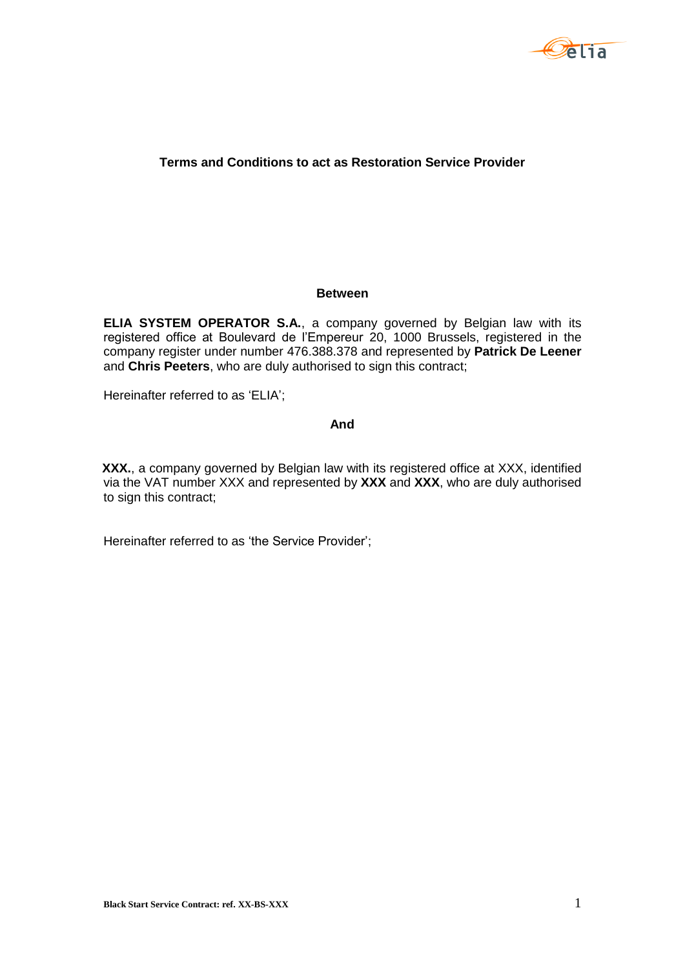

## **Terms and Conditions to act as Restoration Service Provider**

#### **Between**

**ELIA SYSTEM OPERATOR S.A.**, a company governed by Belgian law with its registered office at Boulevard de l'Empereur 20, 1000 Brussels, registered in the company register under number 476.388.378 and represented by **Patrick De Leener** and **Chris Peeters**, who are duly authorised to sign this contract;

Hereinafter referred to as 'ELIA';

## **And**

**XXX.**, a company governed by Belgian law with its registered office at XXX, identified via the VAT number XXX and represented by **XXX** and **XXX**, who are duly authorised to sign this contract;

Hereinafter referred to as 'the Service Provider';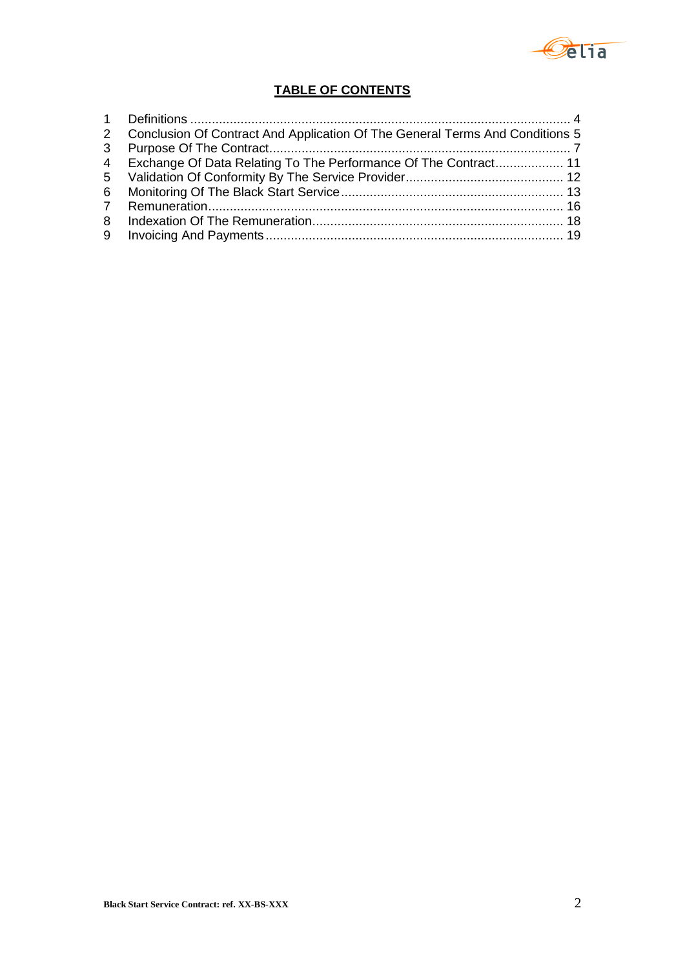

# **TABLE OF CONTENTS**

| 2 Conclusion Of Contract And Application Of The General Terms And Conditions 5 |  |
|--------------------------------------------------------------------------------|--|
|                                                                                |  |
| 4 Exchange Of Data Relating To The Performance Of The Contract 11              |  |
|                                                                                |  |
|                                                                                |  |
|                                                                                |  |
|                                                                                |  |
|                                                                                |  |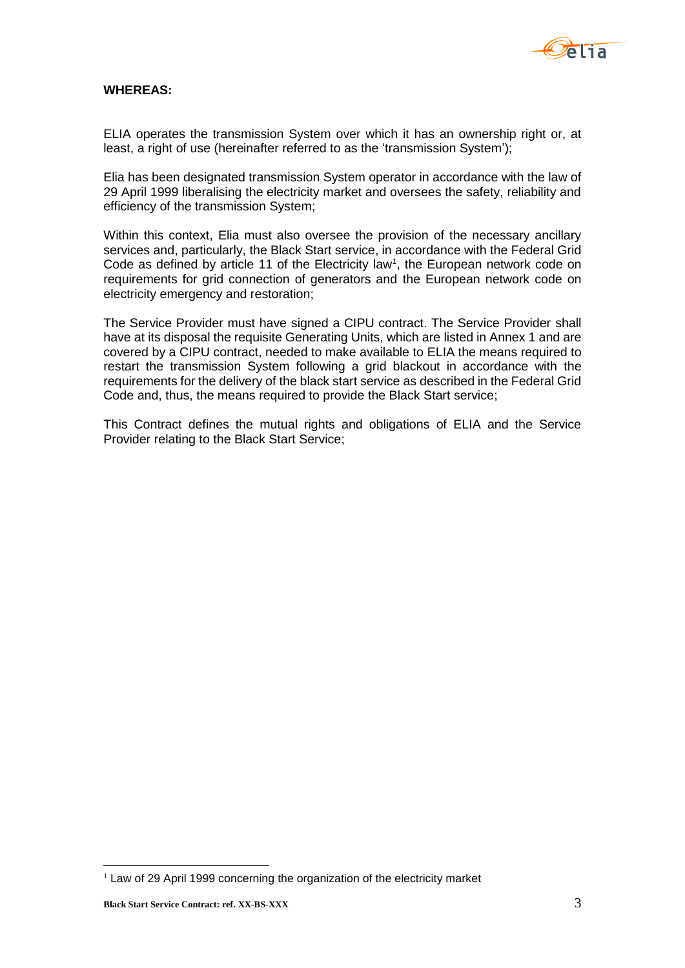

#### **WHEREAS:**

ELIA operates the transmission System over which it has an ownership right or, at least, a right of use (hereinafter referred to as the 'transmission System');

Elia has been designated transmission System operator in accordance with the law of 29 April 1999 liberalising the electricity market and oversees the safety, reliability and efficiency of the transmission System;

Within this context, Elia must also oversee the provision of the necessary ancillary services and, particularly, the Black Start service, in accordance with the Federal Grid Code as defined by article 11 of the Electricity law<sup>1</sup>, the European network code on requirements for grid connection of generators and the European network code on electricity emergency and restoration;

The Service Provider must have signed a CIPU contract. The Service Provider shall have at its disposal the requisite Generating Units, which are listed in Annex 1 and are covered by a CIPU contract, needed to make available to ELIA the means required to restart the transmission System following a grid blackout in accordance with the requirements for the delivery of the black start service as described in the Federal Grid Code and, thus, the means required to provide the Black Start service;

This Contract defines the mutual rights and obligations of ELIA and the Service Provider relating to the Black Start Service;

<u>.</u>

 $1$  Law of 29 April 1999 concerning the organization of the electricity market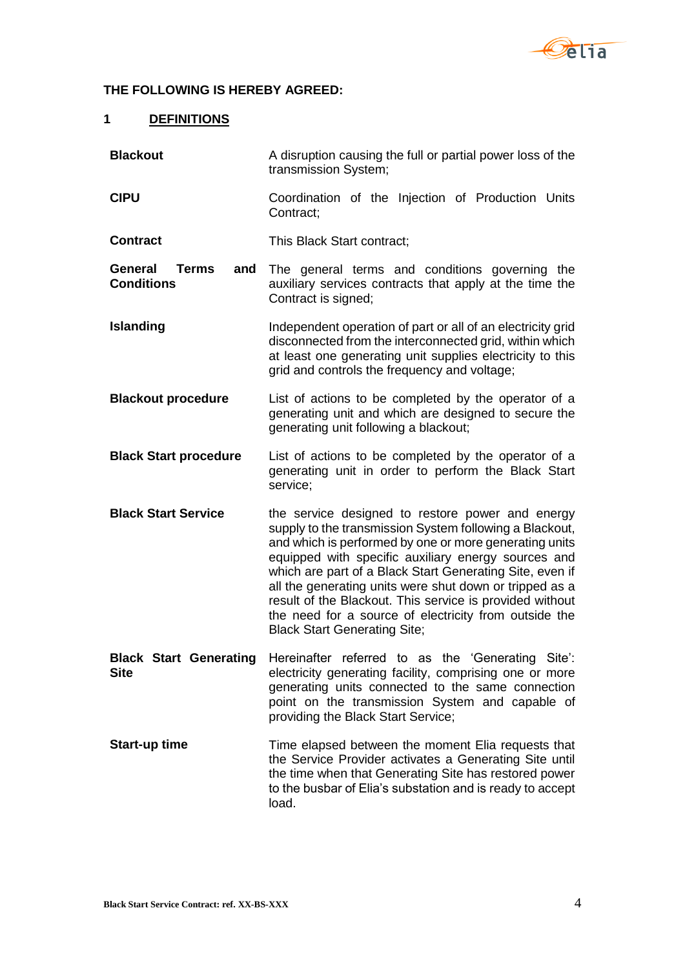

#### **THE FOLLOWING IS HEREBY AGREED:**

#### <span id="page-3-0"></span>**1 DEFINITIONS**

**Blackout** A disruption causing the full or partial power loss of the transmission System; **CIPU** Coordination of the Injection of Production Units Contract; **Contract** This Black Start contract; **General Terms and Conditions** The general terms and conditions governing the auxiliary services contracts that apply at the time the Contract is signed; **Islanding** Independent operation of part or all of an electricity grid disconnected from the interconnected grid, within which at least one generating unit supplies electricity to this grid and controls the frequency and voltage; **Blackout procedure** List of actions to be completed by the operator of a generating unit and which are designed to secure the generating unit following a blackout; **Black Start procedure** List of actions to be completed by the operator of a generating unit in order to perform the Black Start service; **Black Start Service** the service designed to restore power and energy supply to the transmission System following a Blackout, and which is performed by one or more generating units equipped with specific auxiliary energy sources and which are part of a Black Start Generating Site, even if all the generating units were shut down or tripped as a result of the Blackout. This service is provided without the need for a source of electricity from outside the Black Start Generating Site; **Black Start Generating Site** Hereinafter referred to as the 'Generating Site': electricity generating facility, comprising one or more generating units connected to the same connection point on the transmission System and capable of providing the Black Start Service; **Start-up time** Time elapsed between the moment Elia requests that the Service Provider activates a Generating Site until the time when that Generating Site has restored power to the busbar of Elia's substation and is ready to accept load.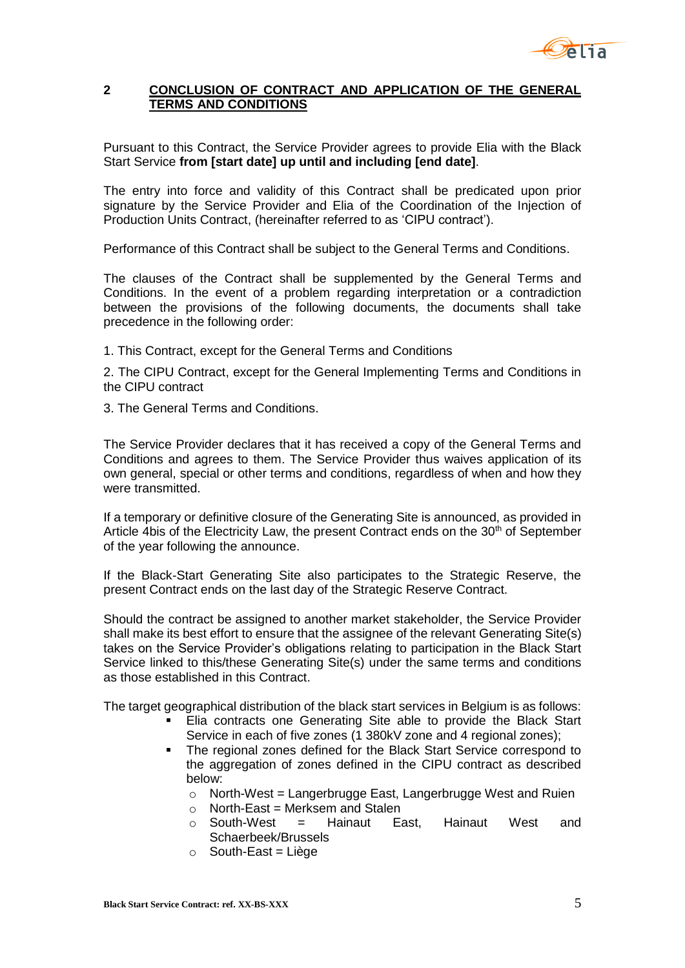

#### <span id="page-4-0"></span>**2 CONCLUSION OF CONTRACT AND APPLICATION OF THE GENERAL TERMS AND CONDITIONS**

Pursuant to this Contract, the Service Provider agrees to provide Elia with the Black Start Service **from [start date] up until and including [end date]**.

The entry into force and validity of this Contract shall be predicated upon prior signature by the Service Provider and Elia of the Coordination of the Injection of Production Units Contract, (hereinafter referred to as 'CIPU contract').

Performance of this Contract shall be subject to the General Terms and Conditions.

The clauses of the Contract shall be supplemented by the General Terms and Conditions. In the event of a problem regarding interpretation or a contradiction between the provisions of the following documents, the documents shall take precedence in the following order:

1. This Contract, except for the General Terms and Conditions

2. The CIPU Contract, except for the General Implementing Terms and Conditions in the CIPU contract

3. The General Terms and Conditions.

The Service Provider declares that it has received a copy of the General Terms and Conditions and agrees to them. The Service Provider thus waives application of its own general, special or other terms and conditions, regardless of when and how they were transmitted.

If a temporary or definitive closure of the Generating Site is announced, as provided in Article 4bis of the Electricity Law, the present Contract ends on the  $30<sup>th</sup>$  of September of the year following the announce.

If the Black-Start Generating Site also participates to the Strategic Reserve, the present Contract ends on the last day of the Strategic Reserve Contract.

Should the contract be assigned to another market stakeholder, the Service Provider shall make its best effort to ensure that the assignee of the relevant Generating Site(s) takes on the Service Provider's obligations relating to participation in the Black Start Service linked to this/these Generating Site(s) under the same terms and conditions as those established in this Contract.

The target geographical distribution of the black start services in Belgium is as follows:

- Elia contracts one Generating Site able to provide the Black Start Service in each of five zones (1 380kV zone and 4 regional zones);
- The regional zones defined for the Black Start Service correspond to the aggregation of zones defined in the CIPU contract as described below:
	- $\circ$  North-West = Langerbrugge East, Langerbrugge West and Ruien
	- $\circ$  North-East = Merksem and Stalen
	- o South-West = Hainaut East, Hainaut West and Schaerbeek/Brussels
	- $\circ$  South-East = Liège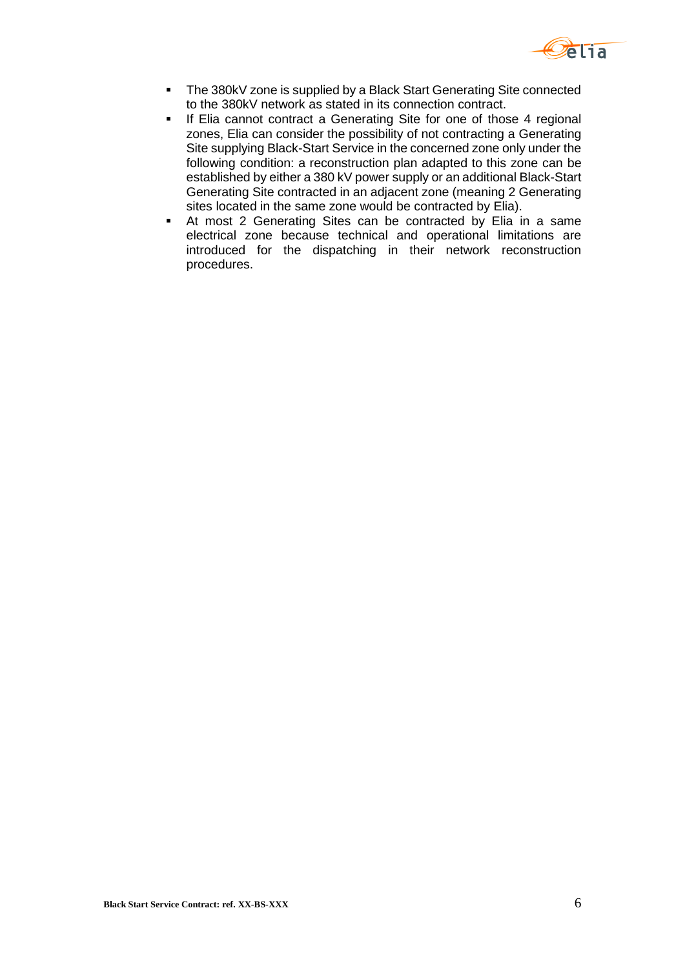

- The 380kV zone is supplied by a Black Start Generating Site connected to the 380kV network as stated in its connection contract.
- **If Elia cannot contract a Generating Site for one of those 4 regional** zones, Elia can consider the possibility of not contracting a Generating Site supplying Black-Start Service in the concerned zone only under the following condition: a reconstruction plan adapted to this zone can be established by either a 380 kV power supply or an additional Black-Start Generating Site contracted in an adjacent zone (meaning 2 Generating sites located in the same zone would be contracted by Elia).
- At most 2 Generating Sites can be contracted by Elia in a same electrical zone because technical and operational limitations are introduced for the dispatching in their network reconstruction procedures.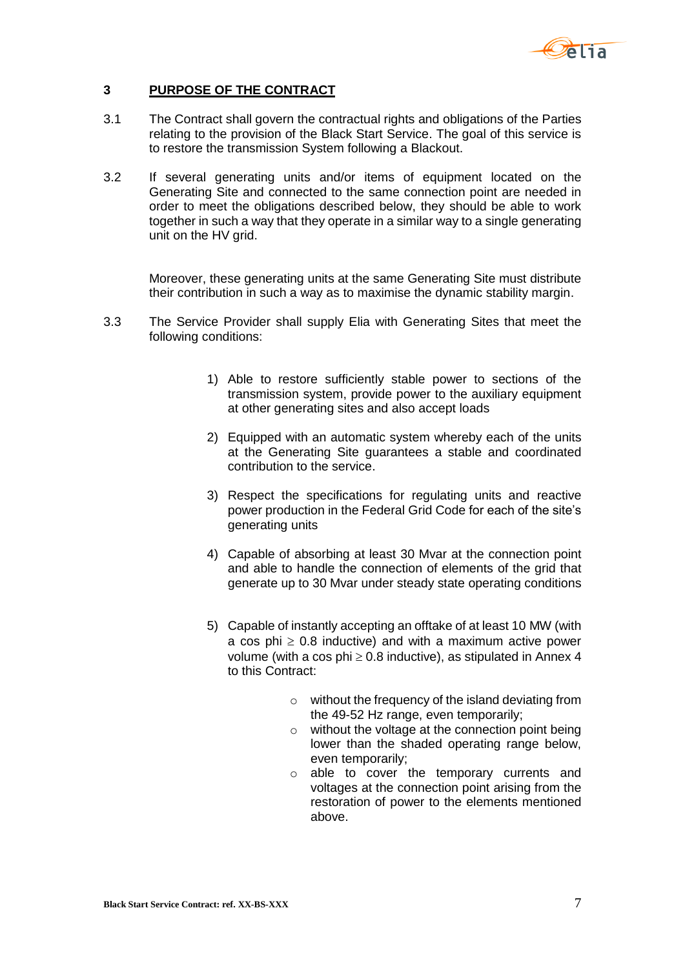

#### <span id="page-6-0"></span>**3 PURPOSE OF THE CONTRACT**

- 3.1 The Contract shall govern the contractual rights and obligations of the Parties relating to the provision of the Black Start Service. The goal of this service is to restore the transmission System following a Blackout.
- 3.2 If several generating units and/or items of equipment located on the Generating Site and connected to the same connection point are needed in order to meet the obligations described below, they should be able to work together in such a way that they operate in a similar way to a single generating unit on the HV grid.

Moreover, these generating units at the same Generating Site must distribute their contribution in such a way as to maximise the dynamic stability margin.

- 3.3 The Service Provider shall supply Elia with Generating Sites that meet the following conditions:
	- 1) Able to restore sufficiently stable power to sections of the transmission system, provide power to the auxiliary equipment at other generating sites and also accept loads
	- 2) Equipped with an automatic system whereby each of the units at the Generating Site guarantees a stable and coordinated contribution to the service.
	- 3) Respect the specifications for regulating units and reactive power production in the Federal Grid Code for each of the site's generating units
	- 4) Capable of absorbing at least 30 Mvar at the connection point and able to handle the connection of elements of the grid that generate up to 30 Mvar under steady state operating conditions
	- 5) Capable of instantly accepting an offtake of at least 10 MW (with a cos phi  $\geq 0.8$  inductive) and with a maximum active power volume (with a cos phi  $\geq 0.8$  inductive), as stipulated in Annex 4 to this Contract:
		- o without the frequency of the island deviating from the 49-52 Hz range, even temporarily;
		- o without the voltage at the connection point being lower than the shaded operating range below, even temporarily;
		- o able to cover the temporary currents and voltages at the connection point arising from the restoration of power to the elements mentioned above.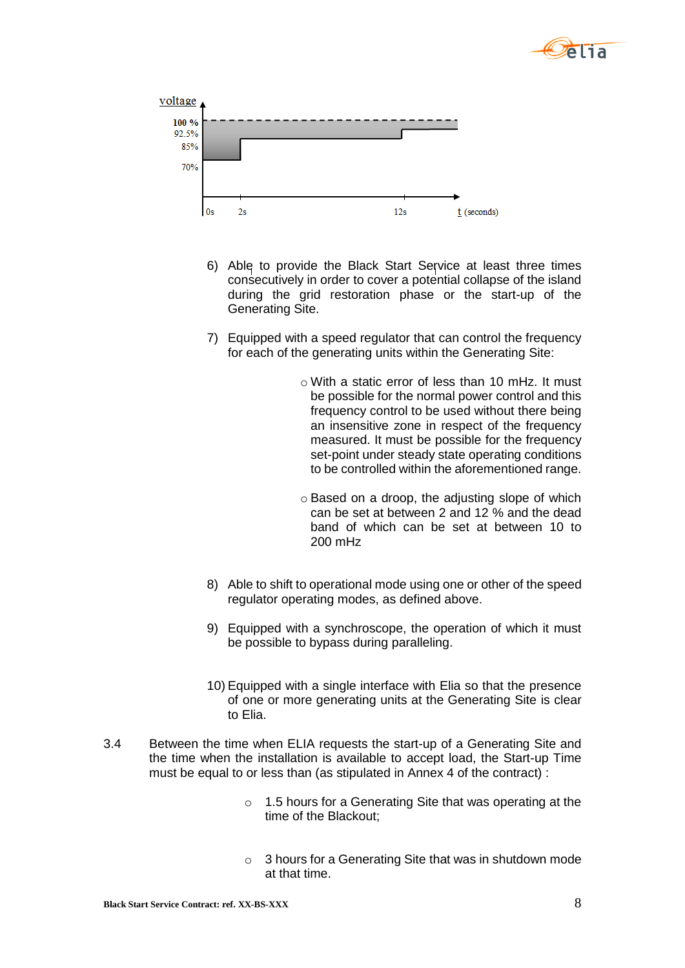



- 6) Able to provide the Black Start Service at least three times consecutively in order to cover a potential collapse of the island during the grid restoration phase or the start-up of the Generating Site.
- 7) Equipped with a speed regulator that can control the frequency for each of the generating units within the Generating Site:
	- o With a static error of less than 10 mHz. It must be possible for the normal power control and this frequency control to be used without there being an insensitive zone in respect of the frequency measured. It must be possible for the frequency set-point under steady state operating conditions to be controlled within the aforementioned range.
	- o Based on a droop, the adjusting slope of which can be set at between 2 and 12 % and the dead band of which can be set at between 10 to 200 mHz
- 8) Able to shift to operational mode using one or other of the speed regulator operating modes, as defined above.
- 9) Equipped with a synchroscope, the operation of which it must be possible to bypass during paralleling.
- 10) Equipped with a single interface with Elia so that the presence of one or more generating units at the Generating Site is clear to Elia.
- 3.4 Between the time when ELIA requests the start-up of a Generating Site and the time when the installation is available to accept load, the Start-up Time must be equal to or less than (as stipulated in Annex 4 of the contract) :
	- o 1.5 hours for a Generating Site that was operating at the time of the Blackout;
	- o 3 hours for a Generating Site that was in shutdown mode at that time.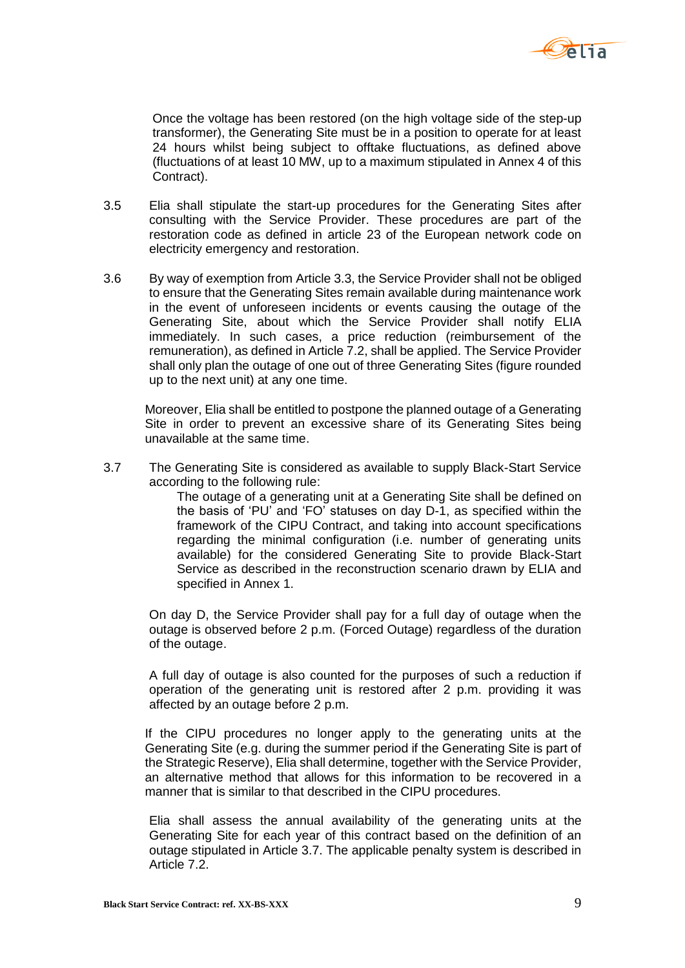

Once the voltage has been restored (on the high voltage side of the step-up transformer), the Generating Site must be in a position to operate for at least 24 hours whilst being subject to offtake fluctuations, as defined above (fluctuations of at least 10 MW, up to a maximum stipulated in Annex 4 of this Contract).

- 3.5 Elia shall stipulate the start-up procedures for the Generating Sites after consulting with the Service Provider. These procedures are part of the restoration code as defined in article 23 of the European network code on electricity emergency and restoration.
- 3.6 By way of exemption from Article 3.3, the Service Provider shall not be obliged to ensure that the Generating Sites remain available during maintenance work in the event of unforeseen incidents or events causing the outage of the Generating Site, about which the Service Provider shall notify ELIA immediately. In such cases, a price reduction (reimbursement of the remuneration), as defined in Article [7.2,](#page-15-1) shall be applied. The Service Provider shall only plan the outage of one out of three Generating Sites (figure rounded up to the next unit) at any one time.

Moreover, Elia shall be entitled to postpone the planned outage of a Generating Site in order to prevent an excessive share of its Generating Sites being unavailable at the same time.

3.7 The Generating Site is considered as available to supply Black-Start Service according to the following rule:

> The outage of a generating unit at a Generating Site shall be defined on the basis of 'PU' and 'FO' statuses on day D-1, as specified within the framework of the CIPU Contract, and taking into account specifications regarding the minimal configuration (i.e. number of generating units available) for the considered Generating Site to provide Black-Start Service as described in the reconstruction scenario drawn by ELIA and specified in Annex 1.

On day D, the Service Provider shall pay for a full day of outage when the outage is observed before 2 p.m. (Forced Outage) regardless of the duration of the outage.

A full day of outage is also counted for the purposes of such a reduction if operation of the generating unit is restored after 2 p.m. providing it was affected by an outage before 2 p.m.

If the CIPU procedures no longer apply to the generating units at the Generating Site (e.g. during the summer period if the Generating Site is part of the Strategic Reserve), Elia shall determine, together with the Service Provider, an alternative method that allows for this information to be recovered in a manner that is similar to that described in the CIPU procedures.

Elia shall assess the annual availability of the generating units at the Generating Site for each year of this contract based on the definition of an outage stipulated in Article 3.7. The applicable penalty system is described in Article 7.2.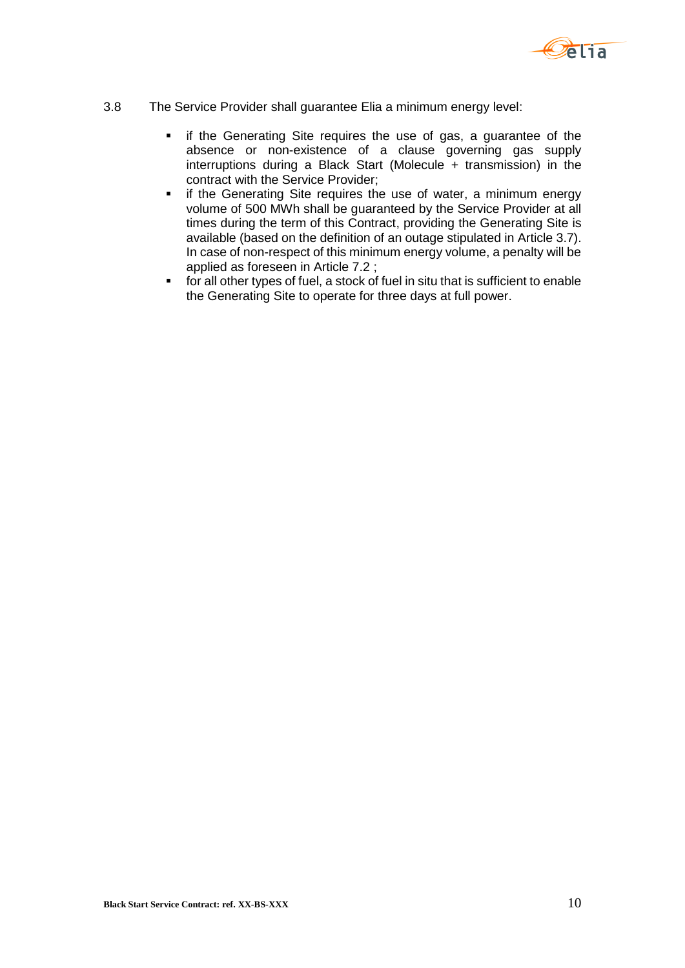

- 3.8 The Service Provider shall guarantee Elia a minimum energy level:
	- **F** if the Generating Site requires the use of gas, a guarantee of the absence or non-existence of a clause governing gas supply interruptions during a Black Start (Molecule + transmission) in the contract with the Service Provider;
	- **F** if the Generating Site requires the use of water, a minimum energy volume of 500 MWh shall be guaranteed by the Service Provider at all times during the term of this Contract, providing the Generating Site is available (based on the definition of an outage stipulated in Article 3.7). In case of non-respect of this minimum energy volume, a penalty will be applied as foreseen in Article 7.2 ;
	- for all other types of fuel, a stock of fuel in situ that is sufficient to enable the Generating Site to operate for three days at full power.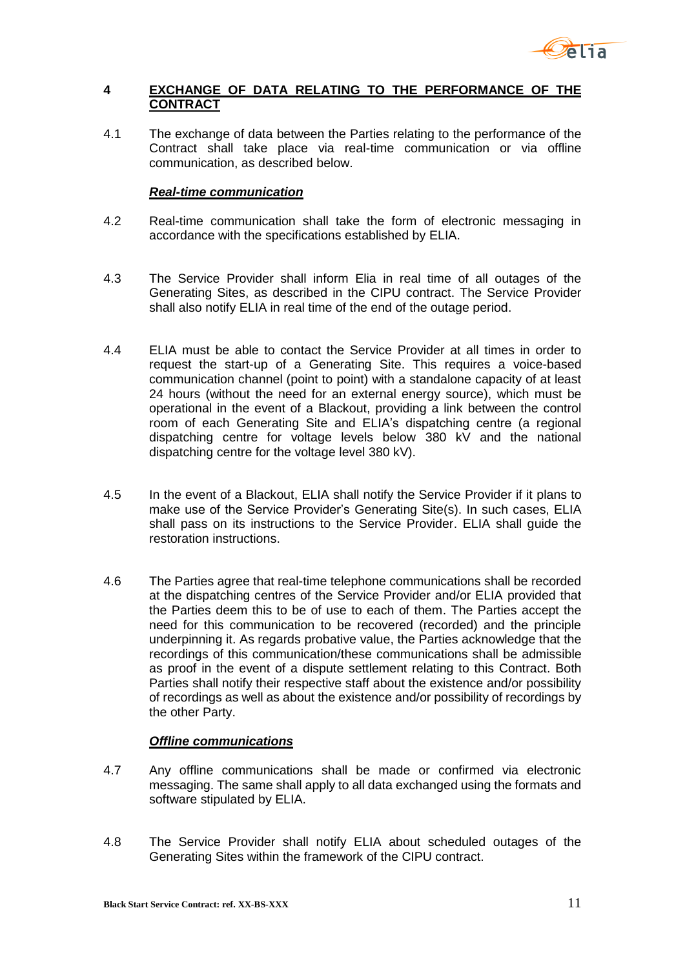

#### <span id="page-10-0"></span>**4 EXCHANGE OF DATA RELATING TO THE PERFORMANCE OF THE CONTRACT**

4.1 The exchange of data between the Parties relating to the performance of the Contract shall take place via real-time communication or via offline communication, as described below.

#### *Real-time communication*

- 4.2 Real-time communication shall take the form of electronic messaging in accordance with the specifications established by ELIA.
- 4.3 The Service Provider shall inform Elia in real time of all outages of the Generating Sites, as described in the CIPU contract. The Service Provider shall also notify ELIA in real time of the end of the outage period.
- 4.4 ELIA must be able to contact the Service Provider at all times in order to request the start-up of a Generating Site. This requires a voice-based communication channel (point to point) with a standalone capacity of at least 24 hours (without the need for an external energy source), which must be operational in the event of a Blackout, providing a link between the control room of each Generating Site and ELIA's dispatching centre (a regional dispatching centre for voltage levels below 380 kV and the national dispatching centre for the voltage level 380 kV).
- 4.5 In the event of a Blackout, ELIA shall notify the Service Provider if it plans to make use of the Service Provider's Generating Site(s). In such cases, ELIA shall pass on its instructions to the Service Provider. ELIA shall guide the restoration instructions.
- 4.6 The Parties agree that real-time telephone communications shall be recorded at the dispatching centres of the Service Provider and/or ELIA provided that the Parties deem this to be of use to each of them. The Parties accept the need for this communication to be recovered (recorded) and the principle underpinning it. As regards probative value, the Parties acknowledge that the recordings of this communication/these communications shall be admissible as proof in the event of a dispute settlement relating to this Contract. Both Parties shall notify their respective staff about the existence and/or possibility of recordings as well as about the existence and/or possibility of recordings by the other Party.

#### *Offline communications*

- 4.7 Any offline communications shall be made or confirmed via electronic messaging. The same shall apply to all data exchanged using the formats and software stipulated by ELIA.
- 4.8 The Service Provider shall notify ELIA about scheduled outages of the Generating Sites within the framework of the CIPU contract.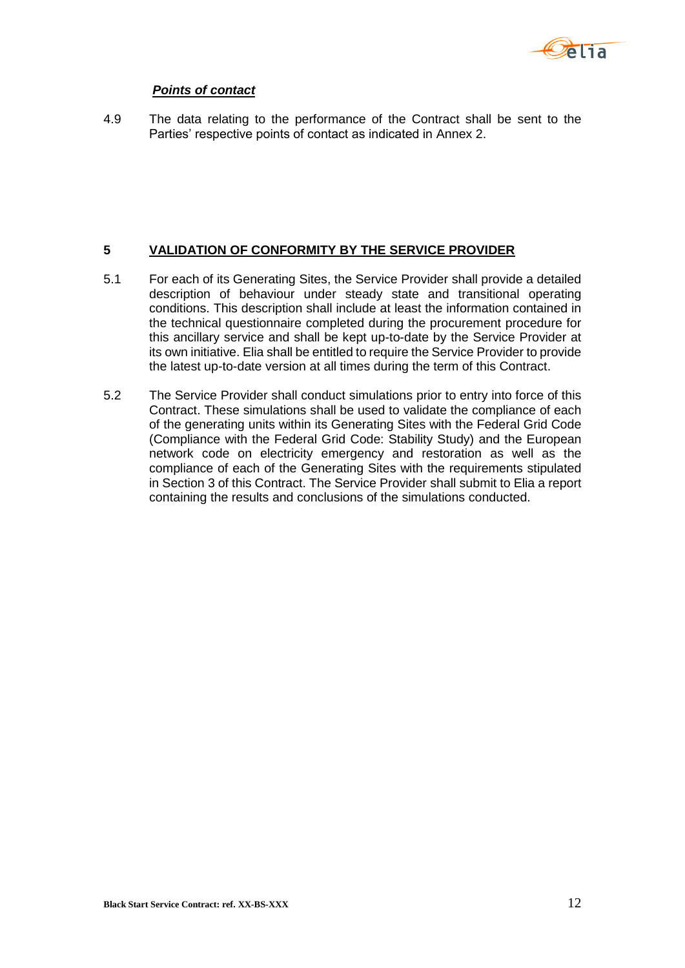

#### *Points of contact*

4.9 The data relating to the performance of the Contract shall be sent to the Parties' respective points of contact as indicated in Annex 2.

#### <span id="page-11-0"></span>**5 VALIDATION OF CONFORMITY BY THE SERVICE PROVIDER**

- 5.1 For each of its Generating Sites, the Service Provider shall provide a detailed description of behaviour under steady state and transitional operating conditions. This description shall include at least the information contained in the technical questionnaire completed during the procurement procedure for this ancillary service and shall be kept up-to-date by the Service Provider at its own initiative. Elia shall be entitled to require the Service Provider to provide the latest up-to-date version at all times during the term of this Contract.
- 5.2 The Service Provider shall conduct simulations prior to entry into force of this Contract. These simulations shall be used to validate the compliance of each of the generating units within its Generating Sites with the Federal Grid Code (Compliance with the Federal Grid Code: Stability Study) and the European network code on electricity emergency and restoration as well as the compliance of each of the Generating Sites with the requirements stipulated in Section 3 of this Contract. The Service Provider shall submit to Elia a report containing the results and conclusions of the simulations conducted.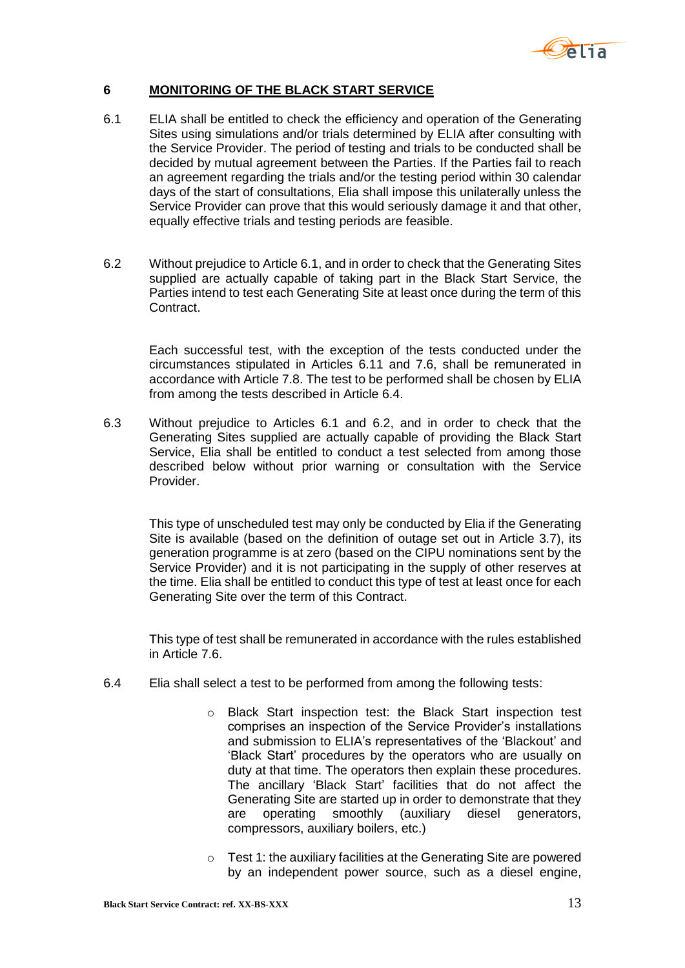

### <span id="page-12-0"></span>**6 MONITORING OF THE BLACK START SERVICE**

- <span id="page-12-1"></span>6.1 ELIA shall be entitled to check the efficiency and operation of the Generating Sites using simulations and/or trials determined by ELIA after consulting with the Service Provider. The period of testing and trials to be conducted shall be decided by mutual agreement between the Parties. If the Parties fail to reach an agreement regarding the trials and/or the testing period within 30 calendar days of the start of consultations, Elia shall impose this unilaterally unless the Service Provider can prove that this would seriously damage it and that other, equally effective trials and testing periods are feasible.
- <span id="page-12-2"></span>6.2 Without prejudice to Article [6.1,](#page-12-1) and in order to check that the Generating Sites supplied are actually capable of taking part in the Black Start Service, the Parties intend to test each Generating Site at least once during the term of this Contract.

Each successful test, with the exception of the tests conducted under the circumstances stipulated in Articles 6.11 and [7.6,](#page-16-0) shall be remunerated in accordance with Article [7.8.](#page-16-1) The test to be performed shall be chosen by ELIA from among the tests described in Article 6.4.

6.3 Without prejudice to Articles 6.1 and 6.2, and in order to check that the Generating Sites supplied are actually capable of providing the Black Start Service, Elia shall be entitled to conduct a test selected from among those described below without prior warning or consultation with the Service Provider.

This type of unscheduled test may only be conducted by Elia if the Generating Site is available (based on the definition of outage set out in Article 3.7), its generation programme is at zero (based on the CIPU nominations sent by the Service Provider) and it is not participating in the supply of other reserves at the time. Elia shall be entitled to conduct this type of test at least once for each Generating Site over the term of this Contract.

This type of test shall be remunerated in accordance with the rules established in Article 7.6.

- 6.4 Elia shall select a test to be performed from among the following tests:
	- o Black Start inspection test: the Black Start inspection test comprises an inspection of the Service Provider's installations and submission to ELIA's representatives of the 'Blackout' and 'Black Start' procedures by the operators who are usually on duty at that time. The operators then explain these procedures. The ancillary 'Black Start' facilities that do not affect the Generating Site are started up in order to demonstrate that they are operating smoothly (auxiliary diesel generators, compressors, auxiliary boilers, etc.)
	- o Test 1: the auxiliary facilities at the Generating Site are powered by an independent power source, such as a diesel engine,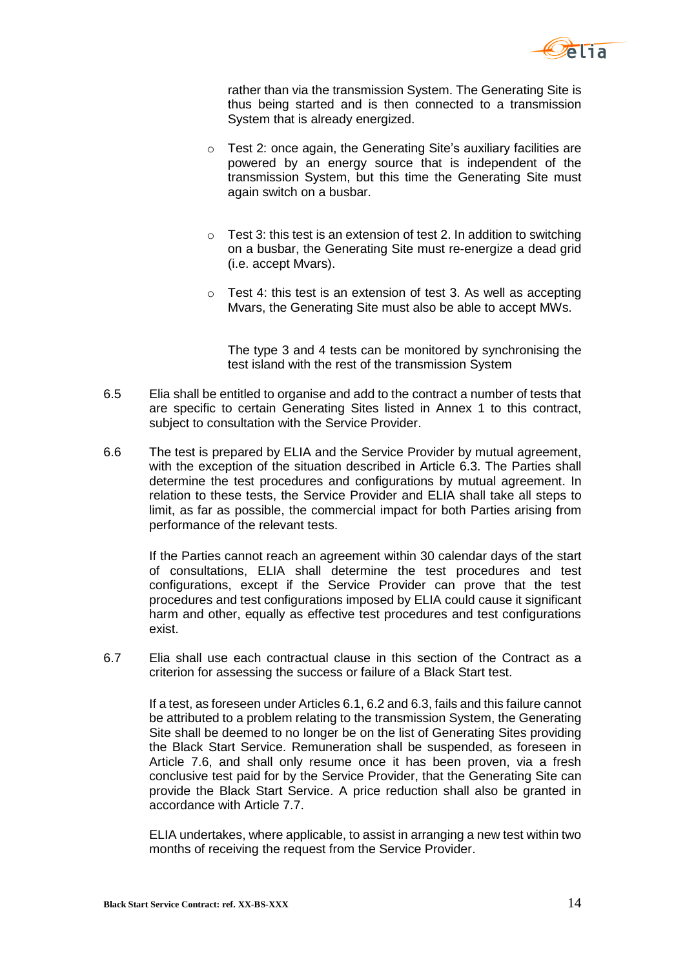

rather than via the transmission System. The Generating Site is thus being started and is then connected to a transmission System that is already energized.

- o Test 2: once again, the Generating Site's auxiliary facilities are powered by an energy source that is independent of the transmission System, but this time the Generating Site must again switch on a busbar.
- $\circ$  Test 3: this test is an extension of test 2. In addition to switching on a busbar, the Generating Site must re-energize a dead grid (i.e. accept Mvars).
- $\circ$  Test 4: this test is an extension of test 3. As well as accepting Mvars, the Generating Site must also be able to accept MWs.

The type 3 and 4 tests can be monitored by synchronising the test island with the rest of the transmission System

- 6.5 Elia shall be entitled to organise and add to the contract a number of tests that are specific to certain Generating Sites listed in Annex 1 to this contract, subject to consultation with the Service Provider.
- 6.6 The test is prepared by ELIA and the Service Provider by mutual agreement, with the exception of the situation described in Article 6.3. The Parties shall determine the test procedures and configurations by mutual agreement. In relation to these tests, the Service Provider and ELIA shall take all steps to limit, as far as possible, the commercial impact for both Parties arising from performance of the relevant tests.

If the Parties cannot reach an agreement within 30 calendar days of the start of consultations, ELIA shall determine the test procedures and test configurations, except if the Service Provider can prove that the test procedures and test configurations imposed by ELIA could cause it significant harm and other, equally as effective test procedures and test configurations exist.

6.7 Elia shall use each contractual clause in this section of the Contract as a criterion for assessing the success or failure of a Black Start test.

If a test, as foreseen under Articles [6.1,](#page-12-1) 6.2 and 6.3, fails and this failure cannot be attributed to a problem relating to the transmission System, the Generating Site shall be deemed to no longer be on the list of Generating Sites providing the Black Start Service. Remuneration shall be suspended, as foreseen in Article [7.6,](#page-16-0) and shall only resume once it has been proven, via a fresh conclusive test paid for by the Service Provider, that the Generating Site can provide the Black Start Service. A price reduction shall also be granted in accordance with Article [7.7.](#page-16-2)

ELIA undertakes, where applicable, to assist in arranging a new test within two months of receiving the request from the Service Provider.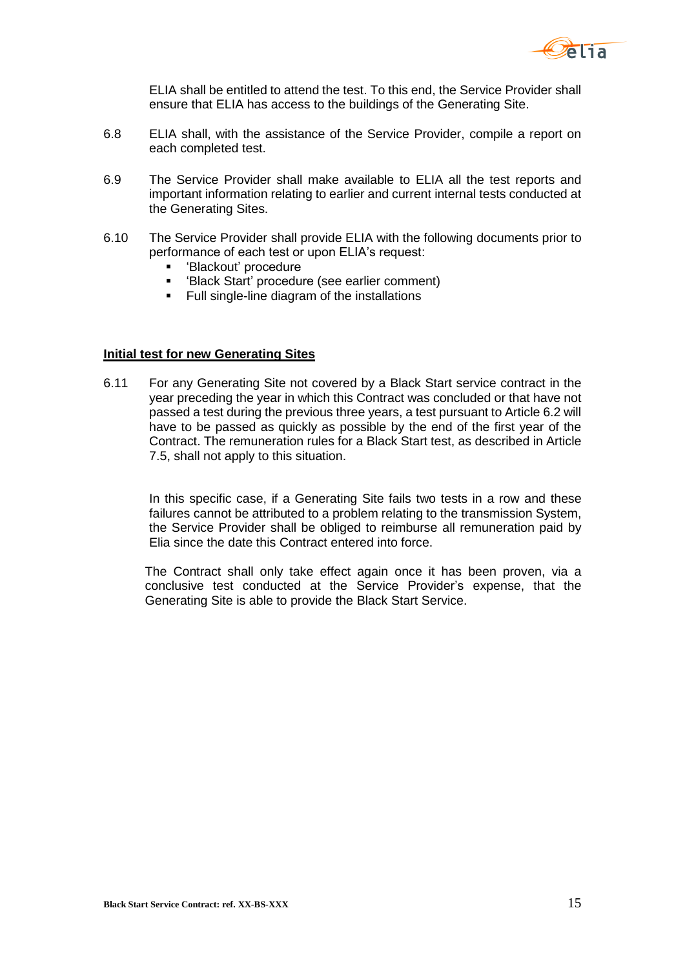

ELIA shall be entitled to attend the test. To this end, the Service Provider shall ensure that ELIA has access to the buildings of the Generating Site.

- 6.8 ELIA shall, with the assistance of the Service Provider, compile a report on each completed test.
- 6.9 The Service Provider shall make available to ELIA all the test reports and important information relating to earlier and current internal tests conducted at the Generating Sites.
- 6.10 The Service Provider shall provide ELIA with the following documents prior to performance of each test or upon ELIA's request:
	- 'Blackout' procedure
	- 'Black Start' procedure (see earlier comment)
	- **Full single-line diagram of the installations**

#### **Initial test for new Generating Sites**

6.11 For any Generating Site not covered by a Black Start service contract in the year preceding the year in which this Contract was concluded or that have not passed a test during the previous three years, a test pursuant to Article [6.2](#page-12-2) will have to be passed as quickly as possible by the end of the first year of the Contract. The remuneration rules for a Black Start test, as described in Article 7.5, shall not apply to this situation.

In this specific case, if a Generating Site fails two tests in a row and these failures cannot be attributed to a problem relating to the transmission System, the Service Provider shall be obliged to reimburse all remuneration paid by Elia since the date this Contract entered into force.

The Contract shall only take effect again once it has been proven, via a conclusive test conducted at the Service Provider's expense, that the Generating Site is able to provide the Black Start Service.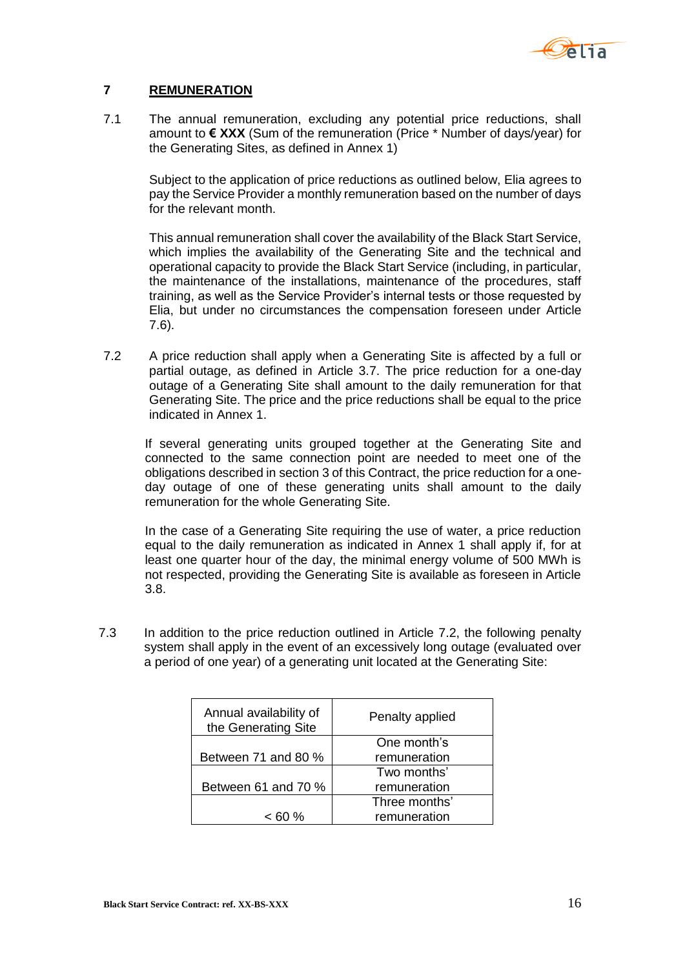

### <span id="page-15-0"></span>**7 REMUNERATION**

7.1 The annual remuneration, excluding any potential price reductions, shall amount to **€ XXX** (Sum of the remuneration (Price \* Number of days/year) for the Generating Sites, as defined in Annex 1)

Subject to the application of price reductions as outlined below, Elia agrees to pay the Service Provider a monthly remuneration based on the number of days for the relevant month.

This annual remuneration shall cover the availability of the Black Start Service, which implies the availability of the Generating Site and the technical and operational capacity to provide the Black Start Service (including, in particular, the maintenance of the installations, maintenance of the procedures, staff training, as well as the Service Provider's internal tests or those requested by Elia, but under no circumstances the compensation foreseen under Article 7.6).

<span id="page-15-1"></span>7.2 A price reduction shall apply when a Generating Site is affected by a full or partial outage, as defined in Article 3.7. The price reduction for a one-day outage of a Generating Site shall amount to the daily remuneration for that Generating Site. The price and the price reductions shall be equal to the price indicated in Annex 1.

If several generating units grouped together at the Generating Site and connected to the same connection point are needed to meet one of the obligations described in section 3 of this Contract, the price reduction for a oneday outage of one of these generating units shall amount to the daily remuneration for the whole Generating Site.

In the case of a Generating Site requiring the use of water, a price reduction equal to the daily remuneration as indicated in Annex 1 shall apply if, for at least one quarter hour of the day, the minimal energy volume of 500 MWh is not respected, providing the Generating Site is available as foreseen in Article 3.8.

7.3 In addition to the price reduction outlined in Article 7.2, the following penalty system shall apply in the event of an excessively long outage (evaluated over a period of one year) of a generating unit located at the Generating Site:

| Annual availability of<br>the Generating Site | Penalty applied |
|-----------------------------------------------|-----------------|
|                                               | One month's     |
| Between 71 and 80 %                           | remuneration    |
|                                               | Two months'     |
| Between 61 and 70 %                           | remuneration    |
|                                               | Three months'   |
| $< 60 \%$                                     | remuneration    |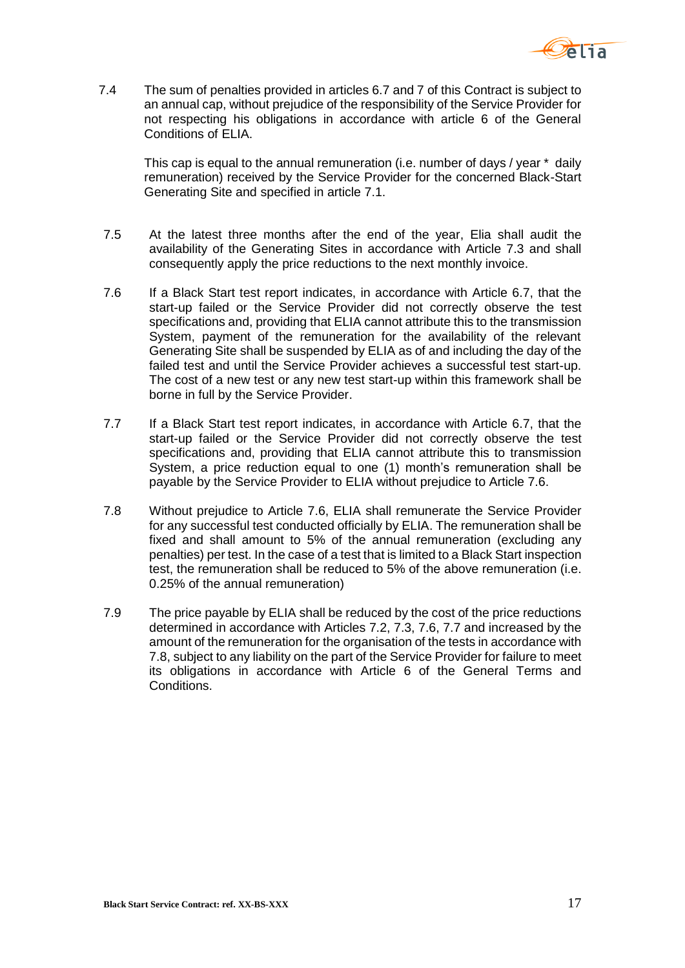

7.4 The sum of penalties provided in articles 6.7 and 7 of this Contract is subject to an annual cap, without prejudice of the responsibility of the Service Provider for not respecting his obligations in accordance with article 6 of the General Conditions of ELIA.

This cap is equal to the annual remuneration (i.e. number of days / year \* daily remuneration) received by the Service Provider for the concerned Black-Start Generating Site and specified in article 7.1.

- 7.5 At the latest three months after the end of the year, Elia shall audit the availability of the Generating Sites in accordance with Article 7.3 and shall consequently apply the price reductions to the next monthly invoice.
- <span id="page-16-0"></span>7.6 If a Black Start test report indicates, in accordance with Article 6.7, that the start-up failed or the Service Provider did not correctly observe the test specifications and, providing that ELIA cannot attribute this to the transmission System, payment of the remuneration for the availability of the relevant Generating Site shall be suspended by ELIA as of and including the day of the failed test and until the Service Provider achieves a successful test start-up. The cost of a new test or any new test start-up within this framework shall be borne in full by the Service Provider.
- <span id="page-16-2"></span>7.7 If a Black Start test report indicates, in accordance with Article 6.7, that the start-up failed or the Service Provider did not correctly observe the test specifications and, providing that ELIA cannot attribute this to transmission System, a price reduction equal to one (1) month's remuneration shall be payable by the Service Provider to ELIA without prejudice to Article [7.6.](#page-16-0)
- <span id="page-16-1"></span>7.8 Without prejudice to Article [7.6,](#page-16-0) ELIA shall remunerate the Service Provider for any successful test conducted officially by ELIA. The remuneration shall be fixed and shall amount to 5% of the annual remuneration (excluding any penalties) per test. In the case of a test that is limited to a Black Start inspection test, the remuneration shall be reduced to 5% of the above remuneration (i.e. 0.25% of the annual remuneration)
- 7.9 The price payable by ELIA shall be reduced by the cost of the price reductions determined in accordance with Articles [7.2,](#page-15-1) 7.3, [7.6,](#page-16-0) [7.7](#page-16-2) and increased by the amount of the remuneration for the organisation of the tests in accordance with [7.8,](#page-16-1) subject to any liability on the part of the Service Provider for failure to meet its obligations in accordance with Article 6 of the General Terms and Conditions.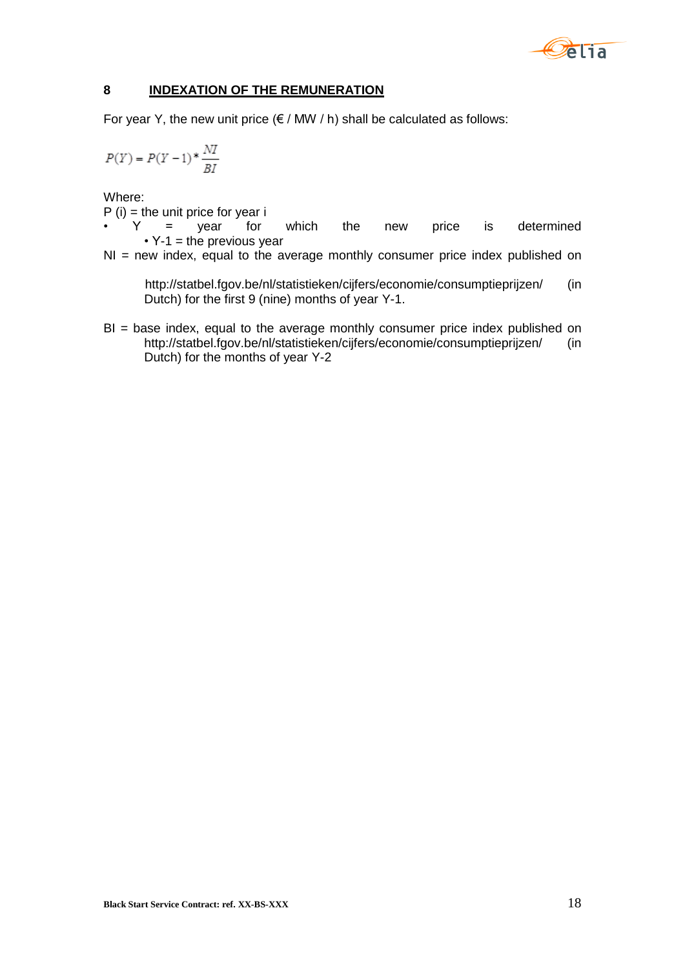

## <span id="page-17-0"></span>**8 INDEXATION OF THE REMUNERATION**

For year Y, the new unit price  $(\epsilon / MW / h)$  shall be calculated as follows:

$$
P(Y)=P(Y-1)*\frac{NI}{BI}
$$

Where:

 $P(i)$  = the unit price for year i

 $Y =$  year for which the new price is determined  $\cdot$  Y-1 = the previous year

NI = new index, equal to the average monthly consumer price index published on

<http://statbel.fgov.be/nl/statistieken/cijfers/economie/consumptieprijzen/> (in Dutch) for the first 9 (nine) months of year Y-1.

BI = base index, equal to the average monthly consumer price index published on <http://statbel.fgov.be/nl/statistieken/cijfers/economie/consumptieprijzen/> (in Dutch) for the months of year Y-2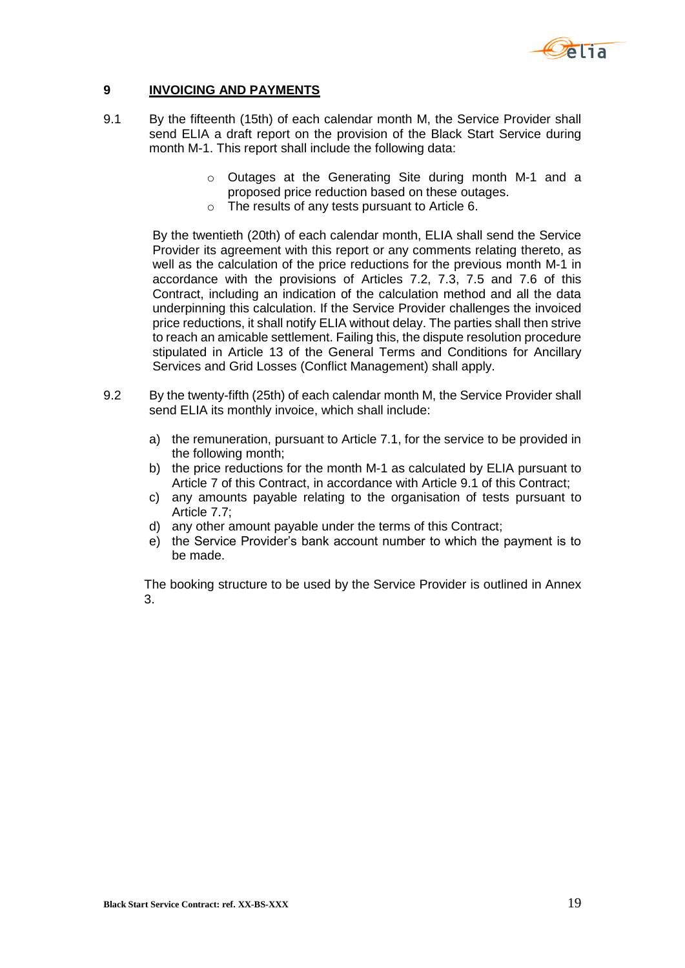

#### <span id="page-18-0"></span>**9 INVOICING AND PAYMENTS**

- 9.1 By the fifteenth (15th) of each calendar month M, the Service Provider shall send ELIA a draft report on the provision of the Black Start Service during month M-1. This report shall include the following data:
	- o Outages at the Generating Site during month M-1 and a proposed price reduction based on these outages.
	- o The results of any tests pursuant to Article 6.

By the twentieth (20th) of each calendar month, ELIA shall send the Service Provider its agreement with this report or any comments relating thereto, as well as the calculation of the price reductions for the previous month M-1 in accordance with the provisions of Articles 7.2, 7.3, 7.5 and 7.6 of this Contract, including an indication of the calculation method and all the data underpinning this calculation. If the Service Provider challenges the invoiced price reductions, it shall notify ELIA without delay. The parties shall then strive to reach an amicable settlement. Failing this, the dispute resolution procedure stipulated in Article 13 of the General Terms and Conditions for Ancillary Services and Grid Losses (Conflict Management) shall apply.

- 9.2 By the twenty-fifth (25th) of each calendar month M, the Service Provider shall send ELIA its monthly invoice, which shall include:
	- a) the remuneration, pursuant to Article 7.1, for the service to be provided in the following month;
	- b) the price reductions for the month M-1 as calculated by ELIA pursuant to Article 7 of this Contract, in accordance with Article 9.1 of this Contract;
	- c) any amounts payable relating to the organisation of tests pursuant to Article 7.7;
	- d) any other amount payable under the terms of this Contract;
	- e) the Service Provider's bank account number to which the payment is to be made.

The booking structure to be used by the Service Provider is outlined in Annex 3.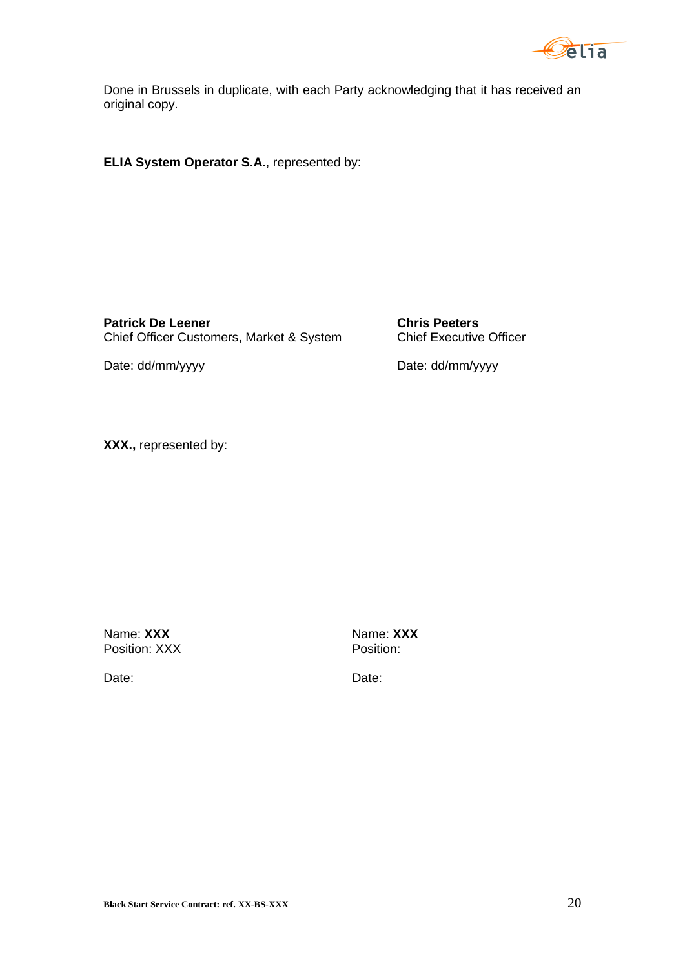

Done in Brussels in duplicate, with each Party acknowledging that it has received an original copy.

**ELIA System Operator S.A.**, represented by:

**Patrick De Leener**<br>Chief Officer Customers, Market & System<br>Chief Executive Officer Chief Officer Customers, Market & System

Date: dd/mm/yyyy Date: dd/mm/yyyy

**XXX.,** represented by:

Name: **XXX**<br>Position: XXX<br>Position: XXX Position: XXX

Date: **Date:** Date: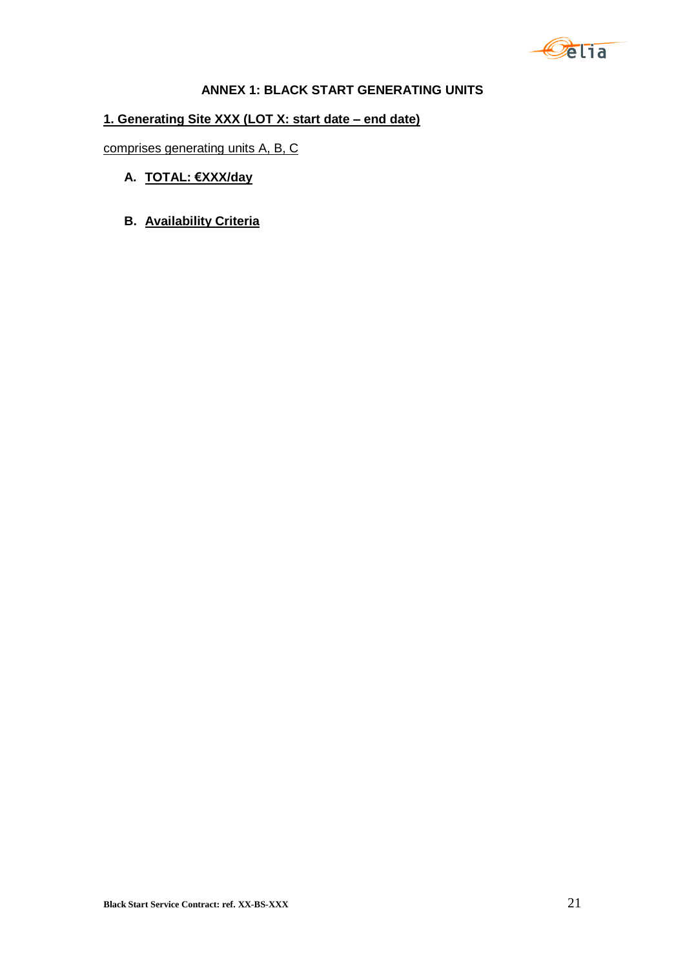

## **ANNEX 1: BLACK START GENERATING UNITS**

# **1. Generating Site XXX (LOT X: start date – end date)**

comprises generating units A, B, C

- **A. TOTAL: €XXX/day**
- **B. Availability Criteria**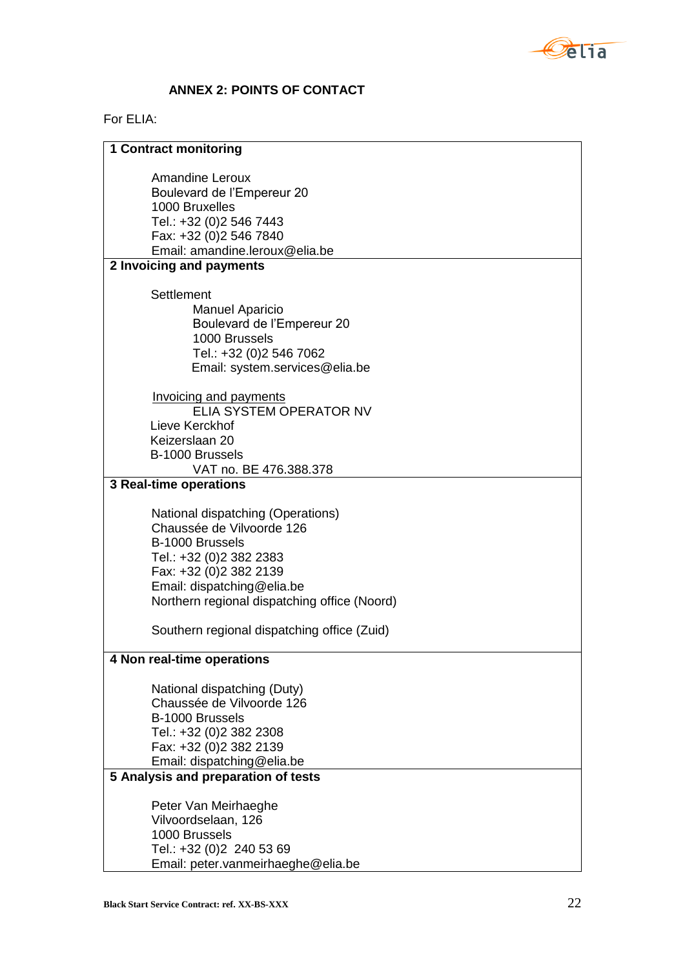

# **ANNEX 2: POINTS OF CONTACT**

# For ELIA:

| <b>1 Contract monitoring</b>                                                                                                                                                                                                                                        |  |  |  |
|---------------------------------------------------------------------------------------------------------------------------------------------------------------------------------------------------------------------------------------------------------------------|--|--|--|
| <b>Amandine Leroux</b><br>Boulevard de l'Empereur 20<br>1000 Bruxelles<br>Tel.: +32 (0)2 546 7443<br>Fax: +32 (0)2 546 7840<br>Email: amandine.leroux@elia.be                                                                                                       |  |  |  |
| 2 Invoicing and payments                                                                                                                                                                                                                                            |  |  |  |
| Settlement<br><b>Manuel Aparicio</b><br>Boulevard de l'Empereur 20<br>1000 Brussels<br>Tel.: +32 (0)2 546 7062<br>Email: system.services@elia.be                                                                                                                    |  |  |  |
| <b>Invoicing and payments</b><br>ELIA SYSTEM OPERATOR NV<br>Lieve Kerckhof                                                                                                                                                                                          |  |  |  |
| Keizerslaan 20<br>B-1000 Brussels<br>VAT no. BE 476.388.378                                                                                                                                                                                                         |  |  |  |
| <b>3 Real-time operations</b>                                                                                                                                                                                                                                       |  |  |  |
| National dispatching (Operations)<br>Chaussée de Vilvoorde 126<br>B-1000 Brussels<br>Tel.: +32 (0)2 382 2383<br>Fax: +32 (0)2 382 2139<br>Email: dispatching@elia.be<br>Northern regional dispatching office (Noord)<br>Southern regional dispatching office (Zuid) |  |  |  |
| 4 Non real-time operations                                                                                                                                                                                                                                          |  |  |  |
| National dispatching (Duty)<br>Chaussée de Vilvoorde 126<br>B-1000 Brussels<br>Tel.: +32 (0)2 382 2308<br>Fax: +32 (0)2 382 2139<br>Email: dispatching@elia.be                                                                                                      |  |  |  |
| 5 Analysis and preparation of tests                                                                                                                                                                                                                                 |  |  |  |
| Peter Van Meirhaeghe<br>Vilvoordselaan, 126<br>1000 Brussels<br>Tel.: +32 (0)2 240 53 69<br>Email: peter.vanmeirhaeghe@elia.be                                                                                                                                      |  |  |  |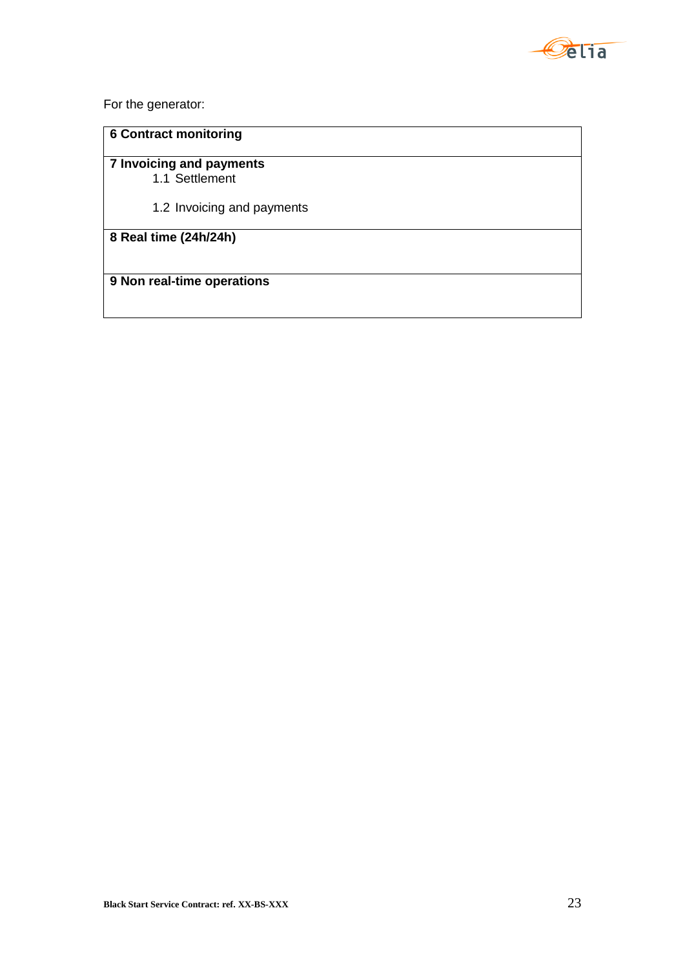

For the generator:

# **6 Contract monitoring**

**7 Invoicing and payments** 1.1 Settlement

1.2 Invoicing and payments

**8 Real time (24h/24h)**

**9 Non real-time operations**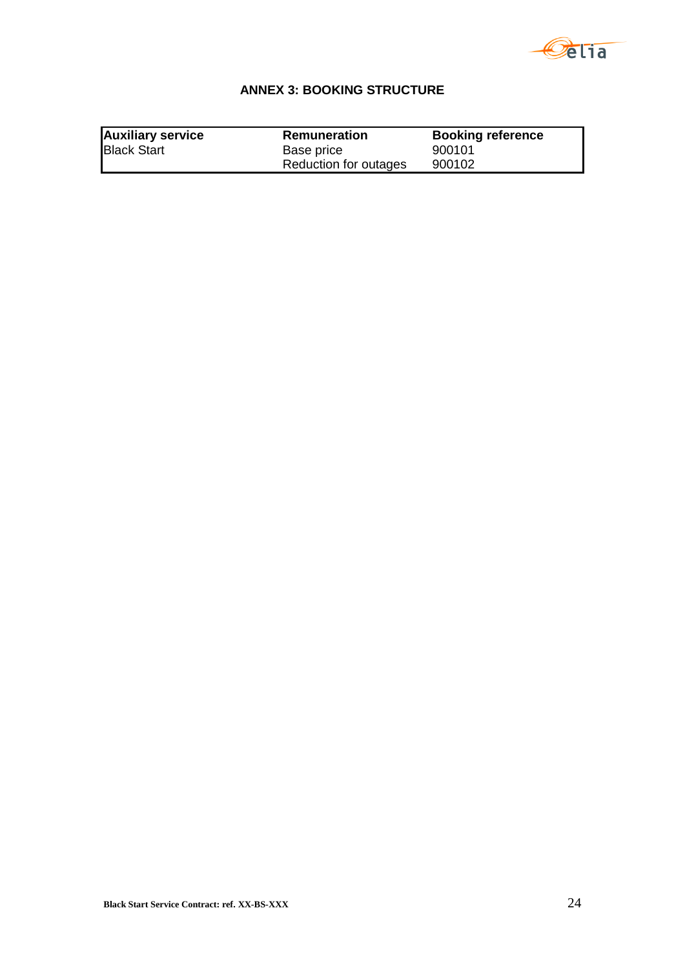

# **ANNEX 3: BOOKING STRUCTURE**

| <b>Auxiliary service</b> | Remuneration          | <b>Booking reference</b> |
|--------------------------|-----------------------|--------------------------|
| <b>Black Start</b>       | Base price            | 900101                   |
|                          | Reduction for outages | 900102                   |